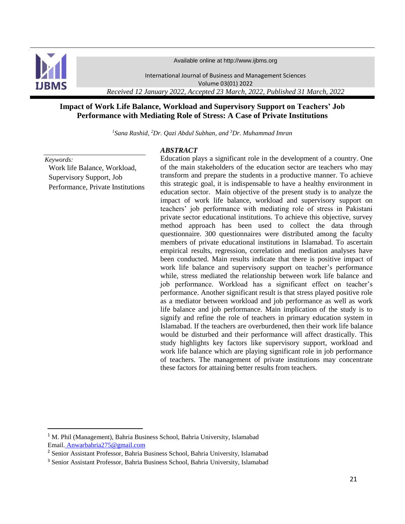

Available online at http://www.ijbms.org

International Journal of Business and Management Sciences Volume 03(01) 2022 *Received 12 January 2022, Accepted 23 March, 2022, Published 31 March, 2022*

## **Impact of Work Life Balance, Workload and Supervisory Support on Teachers' Job Performance with Mediating Role of Stress: A Case of Private Institutions**

*<sup>1</sup>Sana Rashid, <sup>2</sup>Dr. Qazi Abdul Subhan, and <sup>3</sup>Dr. Muhammad Imran*

*ABSTRACT*

#### *Keywords:*

l

Work life Balance, Workload, Supervisory Support, Job Performance, Private Institutions

Education plays a significant role in the development of a country. One of the main stakeholders of the education sector are teachers who may transform and prepare the students in a productive manner. To achieve this strategic goal, it is indispensable to have a healthy environment in education sector. Main objective of the present study is to analyze the impact of work life balance, workload and supervisory support on teachers' job performance with mediating role of stress in Pakistani private sector educational institutions. To achieve this objective, survey method approach has been used to collect the data through questionnaire. 300 questionnaires were distributed among the faculty members of private educational institutions in Islamabad. To ascertain empirical results, regression, correlation and mediation analyses have been conducted. Main results indicate that there is positive impact of work life balance and supervisory support on teacher's performance while, stress mediated the relationship between work life balance and job performance. Workload has a significant effect on teacher's performance. Another significant result is that stress played positive role as a mediator between workload and job performance as well as work life balance and job performance. Main implication of the study is to signify and refine the role of teachers in primary education system in Islamabad. If the teachers are overburdened, then their work life balance would be disturbed and their performance will affect drastically. This study highlights key factors like supervisory support, workload and work life balance which are playing significant role in job performance of teachers. The management of private institutions may concentrate these factors for attaining better results from teachers.

<sup>1</sup> M. Phil (Management), Bahria Business School, Bahria University, Islamabad Email. [Anwarbahria275@gmail.com](mailto:Anwarbahria275@gmail.com)

<sup>2</sup> Senior Assistant Professor, Bahria Business School, Bahria University, Islamabad

<sup>3</sup> Senior Assistant Professor, Bahria Business School, Bahria University, Islamabad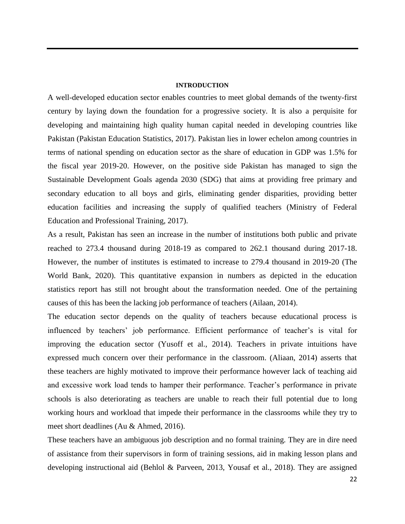#### **INTRODUCTION**

A well-developed education sector enables countries to meet global demands of the twenty-first century by laying down the foundation for a progressive society. It is also a perquisite for developing and maintaining high quality human capital needed in developing countries like Pakistan (Pakistan Education Statistics, 2017). Pakistan lies in lower echelon among countries in terms of national spending on education sector as the share of education in GDP was 1.5% for the fiscal year 2019-20. However, on the positive side Pakistan has managed to sign the Sustainable Development Goals agenda 2030 (SDG) that aims at providing free primary and secondary education to all boys and girls, eliminating gender disparities, providing better education facilities and increasing the supply of qualified teachers (Ministry of Federal Education and Professional Training, 2017).

As a result, Pakistan has seen an increase in the number of institutions both public and private reached to 273.4 thousand during 2018-19 as compared to 262.1 thousand during 2017-18. However, the number of institutes is estimated to increase to 279.4 thousand in 2019-20 (The World Bank, 2020). This quantitative expansion in numbers as depicted in the education statistics report has still not brought about the transformation needed. One of the pertaining causes of this has been the lacking job performance of teachers (Ailaan, 2014).

The education sector depends on the quality of teachers because educational process is influenced by teachers' job performance. Efficient performance of teacher's is vital for improving the education sector (Yusoff et al., 2014). Teachers in private intuitions have expressed much concern over their performance in the classroom. (Aliaan, 2014) asserts that these teachers are highly motivated to improve their performance however lack of teaching aid and excessive work load tends to hamper their performance. Teacher's performance in private schools is also deteriorating as teachers are unable to reach their full potential due to long working hours and workload that impede their performance in the classrooms while they try to meet short deadlines (Au & Ahmed, 2016).

These teachers have an ambiguous job description and no formal training. They are in dire need of assistance from their supervisors in form of training sessions, aid in making lesson plans and developing instructional aid (Behlol & Parveen, 2013, Yousaf et al., 2018). They are assigned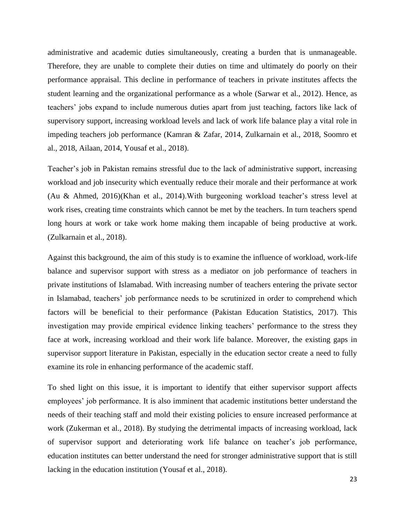administrative and academic duties simultaneously, creating a burden that is unmanageable. Therefore, they are unable to complete their duties on time and ultimately do poorly on their performance appraisal. This decline in performance of teachers in private institutes affects the student learning and the organizational performance as a whole (Sarwar et al., 2012). Hence, as teachers' jobs expand to include numerous duties apart from just teaching, factors like lack of supervisory support, increasing workload levels and lack of work life balance play a vital role in impeding teachers job performance (Kamran & Zafar, 2014, Zulkarnain et al., 2018, Soomro et al., 2018, Ailaan, 2014, Yousaf et al., 2018).

Teacher's job in Pakistan remains stressful due to the lack of administrative support, increasing workload and job insecurity which eventually reduce their morale and their performance at work (Au & Ahmed, 2016)(Khan et al., 2014).With burgeoning workload teacher's stress level at work rises, creating time constraints which cannot be met by the teachers. In turn teachers spend long hours at work or take work home making them incapable of being productive at work. (Zulkarnain et al., 2018).

Against this background, the aim of this study is to examine the influence of workload, work-life balance and supervisor support with stress as a mediator on job performance of teachers in private institutions of Islamabad. With increasing number of teachers entering the private sector in Islamabad, teachers' job performance needs to be scrutinized in order to comprehend which factors will be beneficial to their performance (Pakistan Education Statistics, 2017). This investigation may provide empirical evidence linking teachers' performance to the stress they face at work, increasing workload and their work life balance. Moreover, the existing gaps in supervisor support literature in Pakistan, especially in the education sector create a need to fully examine its role in enhancing performance of the academic staff.

To shed light on this issue, it is important to identify that either supervisor support affects employees' job performance. It is also imminent that academic institutions better understand the needs of their teaching staff and mold their existing policies to ensure increased performance at work (Zukerman et al., 2018). By studying the detrimental impacts of increasing workload, lack of supervisor support and deteriorating work life balance on teacher's job performance, education institutes can better understand the need for stronger administrative support that is still lacking in the education institution (Yousaf et al., 2018).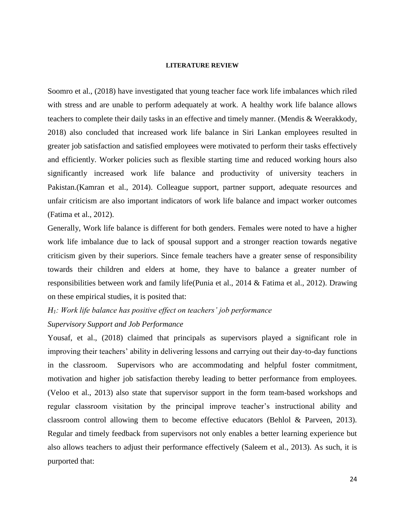#### **LITERATURE REVIEW**

Soomro et al., (2018) have investigated that young teacher face work life imbalances which riled with stress and are unable to perform adequately at work. A healthy work life balance allows teachers to complete their daily tasks in an effective and timely manner. (Mendis & Weerakkody, 2018) also concluded that increased work life balance in Siri Lankan employees resulted in greater job satisfaction and satisfied employees were motivated to perform their tasks effectively and efficiently. Worker policies such as flexible starting time and reduced working hours also significantly increased work life balance and productivity of university teachers in Pakistan.(Kamran et al., 2014). Colleague support, partner support, adequate resources and unfair criticism are also important indicators of work life balance and impact worker outcomes (Fatima et al., 2012).

Generally, Work life balance is different for both genders. Females were noted to have a higher work life imbalance due to lack of spousal support and a stronger reaction towards negative criticism given by their superiors. Since female teachers have a greater sense of responsibility towards their children and elders at home, they have to balance a greater number of responsibilities between work and family life(Punia et al., 2014 & Fatima et al., 2012). Drawing on these empirical studies, it is posited that:

# *H1: Work life balance has positive effect on teachers' job performance Supervisory Support and Job Performance*

Yousaf, et al., (2018) claimed that principals as supervisors played a significant role in improving their teachers' ability in delivering lessons and carrying out their day-to-day functions in the classroom. Supervisors who are accommodating and helpful foster commitment, motivation and higher job satisfaction thereby leading to better performance from employees. (Veloo et al., 2013) also state that supervisor support in the form team-based workshops and regular classroom visitation by the principal improve teacher's instructional ability and classroom control allowing them to become effective educators (Behlol & Parveen, 2013). Regular and timely feedback from supervisors not only enables a better learning experience but also allows teachers to adjust their performance effectively (Saleem et al., 2013). As such, it is purported that: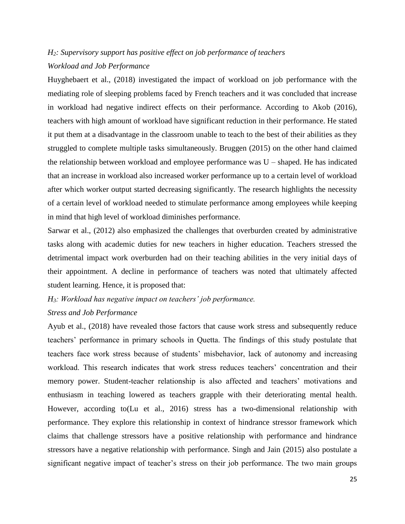## *H2: Supervisory support has positive effect on job performance of teachers Workload and Job Performance*

Huyghebaert et al., (2018) investigated the impact of workload on job performance with the mediating role of sleeping problems faced by French teachers and it was concluded that increase in workload had negative indirect effects on their performance. According to Akob (2016), teachers with high amount of workload have significant reduction in their performance. He stated it put them at a disadvantage in the classroom unable to teach to the best of their abilities as they struggled to complete multiple tasks simultaneously. Bruggen (2015) on the other hand claimed the relationship between workload and employee performance was U – shaped. He has indicated that an increase in workload also increased worker performance up to a certain level of workload after which worker output started decreasing significantly. The research highlights the necessity of a certain level of workload needed to stimulate performance among employees while keeping in mind that high level of workload diminishes performance.

Sarwar et al., (2012) also emphasized the challenges that overburden created by administrative tasks along with academic duties for new teachers in higher education. Teachers stressed the detrimental impact work overburden had on their teaching abilities in the very initial days of their appointment. A decline in performance of teachers was noted that ultimately affected student learning. Hence, it is proposed that:

## *H3: Workload has negative impact on teachers' job performance. Stress and Job Performance*

Ayub et al., (2018) have revealed those factors that cause work stress and subsequently reduce teachers' performance in primary schools in Quetta. The findings of this study postulate that teachers face work stress because of students' misbehavior, lack of autonomy and increasing workload. This research indicates that work stress reduces teachers' concentration and their memory power. Student-teacher relationship is also affected and teachers' motivations and enthusiasm in teaching lowered as teachers grapple with their deteriorating mental health. However, according to(Lu et al., 2016) stress has a two-dimensional relationship with performance. They explore this relationship in context of hindrance stressor framework which claims that challenge stressors have a positive relationship with performance and hindrance stressors have a negative relationship with performance. Singh and Jain (2015) also postulate a significant negative impact of teacher's stress on their job performance. The two main groups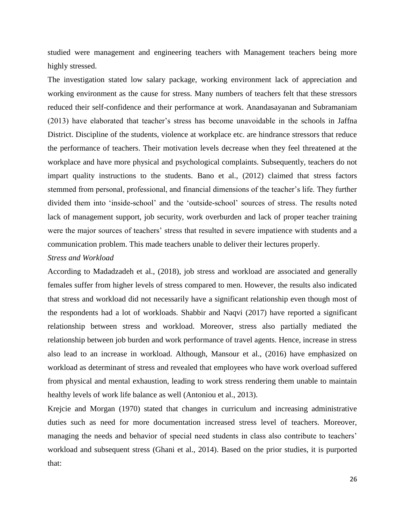studied were management and engineering teachers with Management teachers being more highly stressed.

The investigation stated low salary package, working environment lack of appreciation and working environment as the cause for stress. Many numbers of teachers felt that these stressors reduced their self-confidence and their performance at work. Anandasayanan and Subramaniam (2013) have elaborated that teacher's stress has become unavoidable in the schools in Jaffna District. Discipline of the students, violence at workplace etc. are hindrance stressors that reduce the performance of teachers. Their motivation levels decrease when they feel threatened at the workplace and have more physical and psychological complaints. Subsequently, teachers do not impart quality instructions to the students. Bano et al., (2012) claimed that stress factors stemmed from personal, professional, and financial dimensions of the teacher's life. They further divided them into 'inside-school' and the 'outside-school' sources of stress. The results noted lack of management support, job security, work overburden and lack of proper teacher training were the major sources of teachers' stress that resulted in severe impatience with students and a communication problem. This made teachers unable to deliver their lectures properly.

#### *Stress and Workload*

According to Madadzadeh et al., (2018), job stress and workload are associated and generally females suffer from higher levels of stress compared to men. However, the results also indicated that stress and workload did not necessarily have a significant relationship even though most of the respondents had a lot of workloads. Shabbir and Naqvi (2017) have reported a significant relationship between stress and workload. Moreover, stress also partially mediated the relationship between job burden and work performance of travel agents. Hence, increase in stress also lead to an increase in workload. Although, Mansour et al., (2016) have emphasized on workload as determinant of stress and revealed that employees who have work overload suffered from physical and mental exhaustion, leading to work stress rendering them unable to maintain healthy levels of work life balance as well (Antoniou et al., 2013).

Krejcie and Morgan (1970) stated that changes in curriculum and increasing administrative duties such as need for more documentation increased stress level of teachers. Moreover, managing the needs and behavior of special need students in class also contribute to teachers' workload and subsequent stress (Ghani et al., 2014). Based on the prior studies, it is purported that: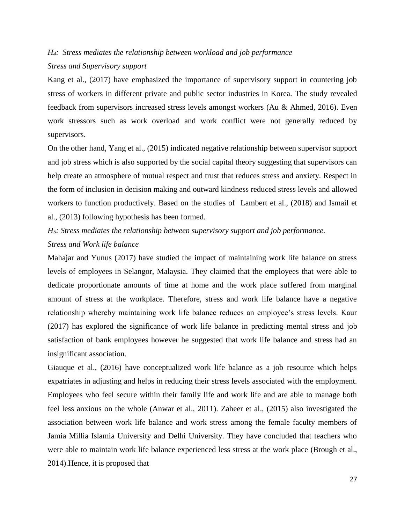## *H4: Stress mediates the relationship between workload and job performance Stress and Supervisory support*

Kang et al., (2017) have emphasized the importance of supervisory support in countering job stress of workers in different private and public sector industries in Korea. The study revealed feedback from supervisors increased stress levels amongst workers (Au & Ahmed, 2016). Even work stressors such as work overload and work conflict were not generally reduced by supervisors.

On the other hand, Yang et al., (2015) indicated negative relationship between supervisor support and job stress which is also supported by the social capital theory suggesting that supervisors can help create an atmosphere of mutual respect and trust that reduces stress and anxiety. Respect in the form of inclusion in decision making and outward kindness reduced stress levels and allowed workers to function productively. Based on the studies of Lambert et al., (2018) and Ismail et al., (2013) following hypothesis has been formed.

## *H5: Stress mediates the relationship between supervisory support and job performance. Stress and Work life balance*

Mahajar and Yunus (2017) have studied the impact of maintaining work life balance on stress levels of employees in Selangor, Malaysia. They claimed that the employees that were able to dedicate proportionate amounts of time at home and the work place suffered from marginal amount of stress at the workplace. Therefore, stress and work life balance have a negative relationship whereby maintaining work life balance reduces an employee's stress levels. Kaur (2017) has explored the significance of work life balance in predicting mental stress and job satisfaction of bank employees however he suggested that work life balance and stress had an insignificant association.

Giauque et al., (2016) have conceptualized work life balance as a job resource which helps expatriates in adjusting and helps in reducing their stress levels associated with the employment. Employees who feel secure within their family life and work life and are able to manage both feel less anxious on the whole (Anwar et al., 2011). Zaheer et al., (2015) also investigated the association between work life balance and work stress among the female faculty members of Jamia Millia Islamia University and Delhi University. They have concluded that teachers who were able to maintain work life balance experienced less stress at the work place (Brough et al., 2014).Hence, it is proposed that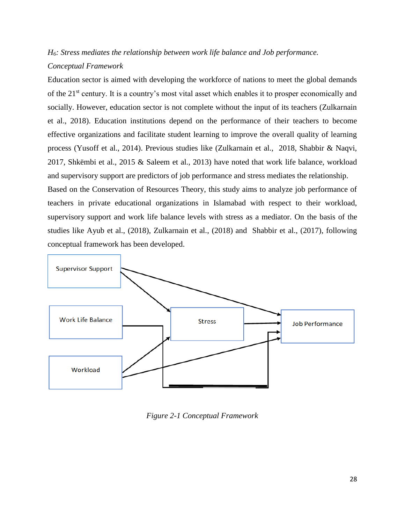## *H6: Stress mediates the relationship between work life balance and Job performance. Conceptual Framework*

Education sector is aimed with developing the workforce of nations to meet the global demands of the 21st century. It is a country's most vital asset which enables it to prosper economically and socially. However, education sector is not complete without the input of its teachers (Zulkarnain et al., 2018). Education institutions depend on the performance of their teachers to become effective organizations and facilitate student learning to improve the overall quality of learning process (Yusoff et al., 2014). Previous studies like (Zulkarnain et al., 2018, Shabbir & Naqvi, 2017, Shkëmbi et al., 2015 & Saleem et al., 2013) have noted that work life balance, workload and supervisory support are predictors of job performance and stress mediates the relationship.

Based on the Conservation of Resources Theory, this study aims to analyze job performance of teachers in private educational organizations in Islamabad with respect to their workload, supervisory support and work life balance levels with stress as a mediator. On the basis of the studies like Ayub et al., (2018), Zulkarnain et al., (2018) and Shabbir et al., (2017), following conceptual framework has been developed.



*Figure 2-1 Conceptual Framework*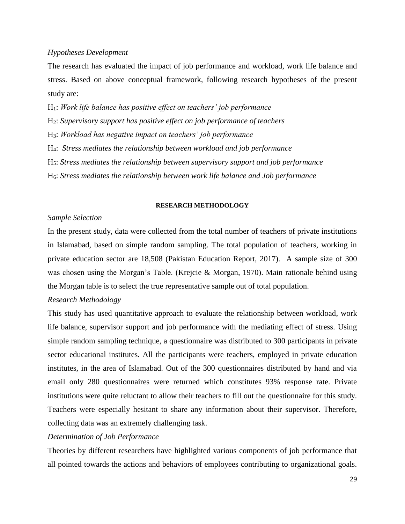### *Hypotheses Development*

The research has evaluated the impact of job performance and workload, work life balance and stress. Based on above conceptual framework, following research hypotheses of the present study are:

H1: *Work life balance has positive effect on teachers' job performance*  H2: *Supervisory support has positive effect on job performance of teachers* H3: *Workload has negative impact on teachers' job performance* H4: *Stress mediates the relationship between workload and job performance* H5: *Stress mediates the relationship between supervisory support and job performance*

H6: *Stress mediates the relationship between work life balance and Job performance*

#### **RESEARCH METHODOLOGY**

### *Sample Selection*

In the present study, data were collected from the total number of teachers of private institutions in Islamabad, based on simple random sampling. The total population of teachers, working in private education sector are 18,508 (Pakistan Education Report, 2017). A sample size of 300 was chosen using the Morgan's Table. (Krejcie & Morgan, 1970). Main rationale behind using the Morgan table is to select the true representative sample out of total population.

### *Research Methodology*

This study has used quantitative approach to evaluate the relationship between workload, work life balance, supervisor support and job performance with the mediating effect of stress. Using simple random sampling technique, a questionnaire was distributed to 300 participants in private sector educational institutes. All the participants were teachers, employed in private education institutes, in the area of Islamabad. Out of the 300 questionnaires distributed by hand and via email only 280 questionnaires were returned which constitutes 93% response rate. Private institutions were quite reluctant to allow their teachers to fill out the questionnaire for this study. Teachers were especially hesitant to share any information about their supervisor. Therefore, collecting data was an extremely challenging task.

### *Determination of Job Performance*

Theories by different researchers have highlighted various components of job performance that all pointed towards the actions and behaviors of employees contributing to organizational goals.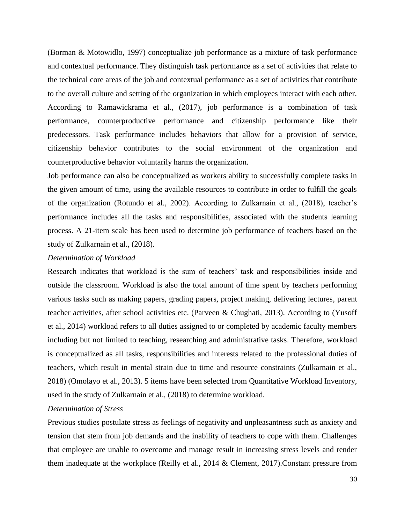(Borman & Motowidlo, 1997) conceptualize job performance as a mixture of task performance and contextual performance. They distinguish task performance as a set of activities that relate to the technical core areas of the job and contextual performance as a set of activities that contribute to the overall culture and setting of the organization in which employees interact with each other. According to Ramawickrama et al., (2017), job performance is a combination of task performance, counterproductive performance and citizenship performance like their predecessors. Task performance includes behaviors that allow for a provision of service, citizenship behavior contributes to the social environment of the organization and counterproductive behavior voluntarily harms the organization.

Job performance can also be conceptualized as workers ability to successfully complete tasks in the given amount of time, using the available resources to contribute in order to fulfill the goals of the organization (Rotundo et al., 2002). According to Zulkarnain et al., (2018), teacher's performance includes all the tasks and responsibilities, associated with the students learning process. A 21-item scale has been used to determine job performance of teachers based on the study of Zulkarnain et al., (2018).

#### *Determination of Workload*

Research indicates that workload is the sum of teachers' task and responsibilities inside and outside the classroom. Workload is also the total amount of time spent by teachers performing various tasks such as making papers, grading papers, project making, delivering lectures, parent teacher activities, after school activities etc. (Parveen & Chughati, 2013). According to (Yusoff et al., 2014) workload refers to all duties assigned to or completed by academic faculty members including but not limited to teaching, researching and administrative tasks. Therefore, workload is conceptualized as all tasks, responsibilities and interests related to the professional duties of teachers, which result in mental strain due to time and resource constraints (Zulkarnain et al., 2018) (Omolayo et al., 2013). 5 items have been selected from Quantitative Workload Inventory, used in the study of Zulkarnain et al., (2018) to determine workload.

### *Determination of Stress*

Previous studies postulate stress as feelings of negativity and unpleasantness such as anxiety and tension that stem from job demands and the inability of teachers to cope with them. Challenges that employee are unable to overcome and manage result in increasing stress levels and render them inadequate at the workplace (Reilly et al., 2014 & Clement, 2017).Constant pressure from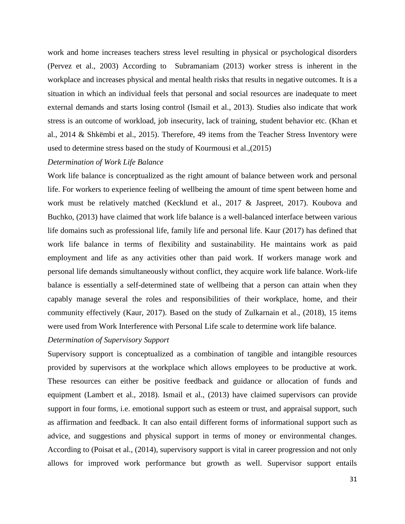work and home increases teachers stress level resulting in physical or psychological disorders (Pervez et al., 2003) According to Subramaniam (2013) worker stress is inherent in the workplace and increases physical and mental health risks that results in negative outcomes. It is a situation in which an individual feels that personal and social resources are inadequate to meet external demands and starts losing control (Ismail et al., 2013). Studies also indicate that work stress is an outcome of workload, job insecurity, lack of training, student behavior etc. (Khan et al., 2014 & Shkëmbi et al., 2015). Therefore, 49 items from the Teacher Stress Inventory were used to determine stress based on the study of Kourmousi et al.,(2015)

#### *Determination of Work Life Balance*

Work life balance is conceptualized as the right amount of balance between work and personal life. For workers to experience feeling of wellbeing the amount of time spent between home and work must be relatively matched (Kecklund et al., 2017 & Jaspreet, 2017). Koubova and Buchko, (2013) have claimed that work life balance is a well-balanced interface between various life domains such as professional life, family life and personal life. Kaur (2017) has defined that work life balance in terms of flexibility and sustainability. He maintains work as paid employment and life as any activities other than paid work. If workers manage work and personal life demands simultaneously without conflict, they acquire work life balance. Work-life balance is essentially a self-determined state of wellbeing that a person can attain when they capably manage several the roles and responsibilities of their workplace, home, and their community effectively (Kaur, 2017). Based on the study of Zulkarnain et al., (2018), 15 items were used from Work Interference with Personal Life scale to determine work life balance.

### *Determination of Supervisory Support*

Supervisory support is conceptualized as a combination of tangible and intangible resources provided by supervisors at the workplace which allows employees to be productive at work. These resources can either be positive feedback and guidance or allocation of funds and equipment (Lambert et al., 2018). Ismail et al., (2013) have claimed supervisors can provide support in four forms, i.e. emotional support such as esteem or trust, and appraisal support, such as affirmation and feedback. It can also entail different forms of informational support such as advice, and suggestions and physical support in terms of money or environmental changes. According to (Poisat et al., (2014), supervisory support is vital in career progression and not only allows for improved work performance but growth as well. Supervisor support entails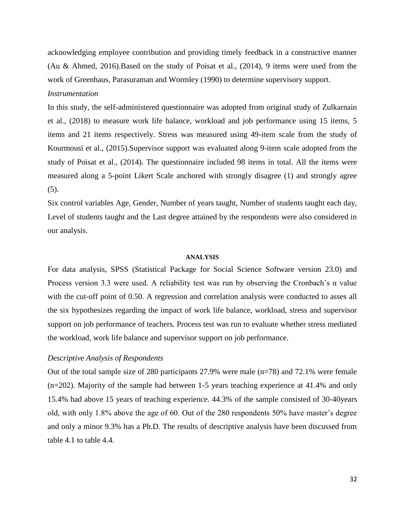acknowledging employee contribution and providing timely feedback in a constructive manner (Au & Ahmed, 2016).Based on the study of Poisat et al., (2014), 9 items were used from the work of Greenhaus, Parasuraman and Wormley (1990) to determine supervisory support. *Instrumentation*

In this study, the self-administered questionnaire was adopted from original study of Zulkarnain et al., (2018) to measure work life balance, workload and job performance using 15 items, 5 items and 21 items respectively. Stress was measured using 49-item scale from the study of Kourmousi et al., (2015).Supervisor support was evaluated along 9-item scale adopted from the study of Poisat et al., (2014). The questionnaire included 98 items in total. All the items were measured along a 5-point Likert Scale anchored with strongly disagree (1) and strongly agree (5).

Six control variables Age, Gender, Number of years taught, Number of students taught each day, Level of students taught and the Last degree attained by the respondents were also considered in our analysis.

#### **ANALYSIS**

For data analysis, SPSS (Statistical Package for Social Science Software version 23.0) and Process version 3.3 were used. A reliability test was run by observing the Cronbach's α value with the cut-off point of 0.50. A regression and correlation analysis were conducted to asses all the six hypothesizes regarding the impact of work life balance, workload, stress and supervisor support on job performance of teachers. Process test was run to evaluate whether stress mediated the workload, work life balance and supervisor support on job performance.

#### *Descriptive Analysis of Respondents*

Out of the total sample size of 280 participants 27.9% were male (n=78) and 72.1% were female (n=202). Majority of the sample had between 1-5 years teaching experience at 41.4% and only 15.4% had above 15 years of teaching experience. 44.3% of the sample consisted of 30-40years old, with only 1.8% above the age of 60. Out of the 280 respondents 50% have master's degree and only a minor 9.3% has a Ph.D. The results of descriptive analysis have been discussed from table 4.1 to table 4.4.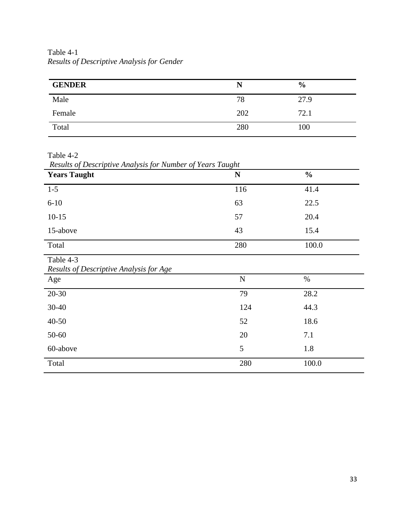Table 4-1 *Results of Descriptive Analysis for Gender*

| <b>GENDER</b> | N   | $\frac{6}{9}$ |
|---------------|-----|---------------|
| Male          | 78  | 27.9          |
| Female        | 202 | 72.1          |
| Total         | 280 | 100           |

Table 4-2

*Results of Descriptive Analysis for Number of Years Taught*

| <b>Years Taught</b>                                  | . .<br>${\bf N}$ | $\frac{0}{0}$ |
|------------------------------------------------------|------------------|---------------|
| $1 - 5$                                              | 116              | 41.4          |
| $6 - 10$                                             | 63               | 22.5          |
| $10-15$                                              | 57               | 20.4          |
| 15-above                                             | 43               | 15.4          |
| Total                                                | 280              | 100.0         |
| Table 4-3<br>Results of Descriptive Analysis for Age |                  |               |
| Age                                                  | ${\bf N}$        | $\%$          |
| $20 - 30$                                            | 79               | 28.2          |
| 30-40                                                | 124              | 44.3          |
| $40 - 50$                                            | 52               | 18.6          |
| 50-60                                                | 20               | 7.1           |
| 60-above                                             | 5                | 1.8           |
| Total                                                | 280              | 100.0         |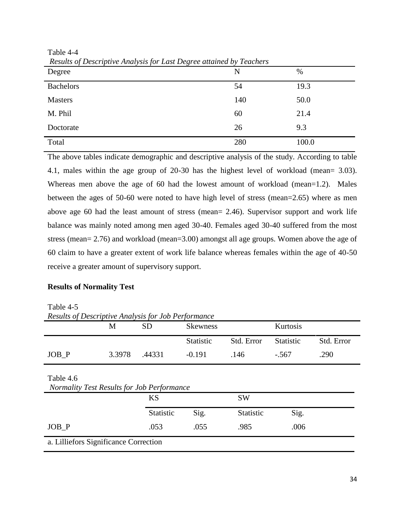| Results of Descriptive That you's for East Degree and near by Feathers<br>Degree | N   | %     |
|----------------------------------------------------------------------------------|-----|-------|
| <b>Bachelors</b>                                                                 | 54  | 19.3  |
| <b>Masters</b>                                                                   | 140 | 50.0  |
| M. Phil                                                                          | 60  | 21.4  |
| Doctorate                                                                        | 26  | 9.3   |
| Total                                                                            | 280 | 100.0 |

Table 4-4 *Results of Descriptive Analysis for Last Degree attained by Teachers*

The above tables indicate demographic and descriptive analysis of the study. According to table 4.1, males within the age group of 20-30 has the highest level of workload (mean= 3.03). Whereas men above the age of 60 had the lowest amount of workload (mean=1.2). Males between the ages of 50-60 were noted to have high level of stress (mean=2.65) where as men above age 60 had the least amount of stress (mean= 2.46). Supervisor support and work life balance was mainly noted among men aged 30-40. Females aged 30-40 suffered from the most stress (mean= 2.76) and workload (mean=3.00) amongst all age groups. Women above the age of 60 claim to have a greater extent of work life balance whereas females within the age of 40-50 receive a greater amount of supervisory support.

#### **Results of Normality Test**

Table 4-5

*Results of Descriptive Analysis for Job Performance*

|                                                         | M      | <b>SD</b>        | <b>Skewness</b> |            | Kurtosis         |            |
|---------------------------------------------------------|--------|------------------|-----------------|------------|------------------|------------|
|                                                         |        |                  | Statistic       | Std. Error | <b>Statistic</b> | Std. Error |
| $JOB_P$                                                 | 3.3978 | .44331           | $-0.191$        | .146       | $-.567$          | .290       |
| Table 4.6<br>Normality Test Results for Job Performance |        | <b>KS</b>        |                 | <b>SW</b>  |                  |            |
|                                                         |        | <b>Statistic</b> | Sig.            | Statistic  | Sig.             |            |
| JOB P                                                   |        | .053             | .055            | .985       | .006             |            |
| a. Lilliefors Significance Correction                   |        |                  |                 |            |                  |            |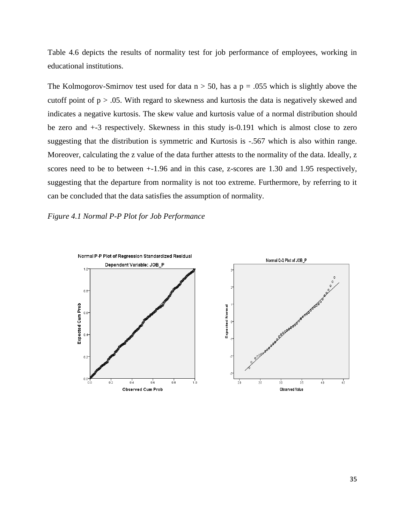Table 4.6 depicts the results of normality test for job performance of employees, working in educational institutions.

The Kolmogorov-Smirnov test used for data  $n > 50$ , has a  $p = 0.055$  which is slightly above the cutoff point of  $p > 0.05$ . With regard to skewness and kurtosis the data is negatively skewed and indicates a negative kurtosis. The skew value and kurtosis value of a normal distribution should be zero and +-3 respectively. Skewness in this study is-0.191 which is almost close to zero suggesting that the distribution is symmetric and Kurtosis is -.567 which is also within range. Moreover, calculating the z value of the data further attests to the normality of the data. Ideally, z scores need to be to between +-1.96 and in this case, z-scores are 1.30 and 1.95 respectively, suggesting that the departure from normality is not too extreme. Furthermore, by referring to it can be concluded that the data satisfies the assumption of normality.

*Figure 4.1 Normal P-P Plot for Job Performance* 

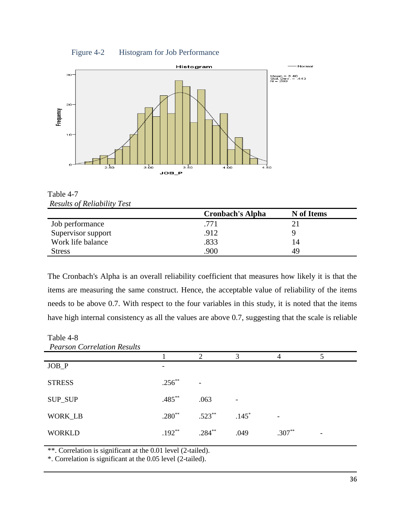



Table 4-7 *Results of Reliability Test*

|                    | <b>Cronbach's Alpha</b> | N of Items |
|--------------------|-------------------------|------------|
| Job performance    | .771                    |            |
| Supervisor support | .912                    |            |
| Work life balance  | .833                    | 14         |
| Stress             | 900                     | 49         |

The Cronbach's Alpha is an overall reliability coefficient that measures how likely it is that the items are measuring the same construct. Hence, the acceptable value of reliability of the items needs to be above 0.7. With respect to the four variables in this study, it is noted that the items have high internal consistency as all the values are above 0.7, suggesting that the scale is reliable

Table 4-8

| <b>Pearson Correlation Results</b> |             |           |         |          |  |
|------------------------------------|-------------|-----------|---------|----------|--|
|                                    |             | ↑         | 3       | 4        |  |
| $JOB_P$                            |             |           |         |          |  |
| <b>STRESS</b>                      | $.256^{**}$ | ۰         |         |          |  |
| SUP_SUP                            | $.485***$   | .063      |         |          |  |
| WORK_LB                            | $.280**$    | $.523**$  | $.145*$ |          |  |
| <b>WORKLD</b>                      | $.192**$    | $.284***$ | .049    | $.307**$ |  |

\*\*. Correlation is significant at the 0.01 level (2-tailed).

\*. Correlation is significant at the 0.05 level (2-tailed).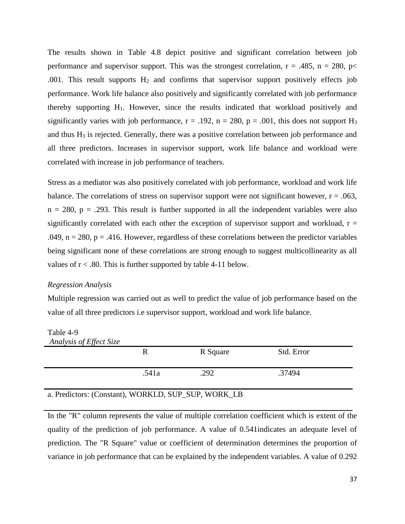The results shown in Table 4.8 depict positive and significant correlation between job performance and supervisor support. This was the strongest correlation,  $r = .485$ ,  $n = 280$ ,  $p \lt 180$ .001. This result supports  $H_2$  and confirms that supervisor support positively effects job performance. Work life balance also positively and significantly correlated with job performance thereby supporting H1. However, since the results indicated that workload positively and significantly varies with job performance,  $r = .192$ ,  $n = 280$ ,  $p = .001$ , this does not support H<sub>3</sub> and thus  $H_3$  is rejected. Generally, there was a positive correlation between job performance and all three predictors. Increases in supervisor support, work life balance and workload were correlated with increase in job performance of teachers.

Stress as a mediator was also positively correlated with job performance, workload and work life balance. The correlations of stress on supervisor support were not significant however,  $r = .063$ ,  $n = 280$ ,  $p = .293$ . This result is further supported in all the independent variables were also significantly correlated with each other the exception of supervisor support and workload,  $r =$ .049,  $n = 280$ ,  $p = .416$ . However, regardless of these correlations between the predictor variables being significant none of these correlations are strong enough to suggest multicollinearity as all values of  $r < .80$ . This is further supported by table 4-11 below.

#### *Regression Analysis*

Multiple regression was carried out as well to predict the value of job performance based on the value of all three predictors i.e supervisor support, workload and work life balance.

Table 4-9

| Analysis of Effect Size                          |       |          |            |
|--------------------------------------------------|-------|----------|------------|
|                                                  |       | R Square | Std. Error |
|                                                  | .541a | .292     | .37494     |
| . Due distance (Canatant) WODVLD SUD SUD WODV ID |       |          |            |

#### a. Predictors: (Constant), WORKLD, SUP\_SUP, WORK\_LB

In the "R" column represents the value of multiple correlation coefficient which is extent of the quality of the prediction of job performance. A value of 0.541indicates an adequate level of prediction. The "R Square" value or coefficient of determination determines the proportion of variance in job performance that can be explained by the independent variables. A value of 0.292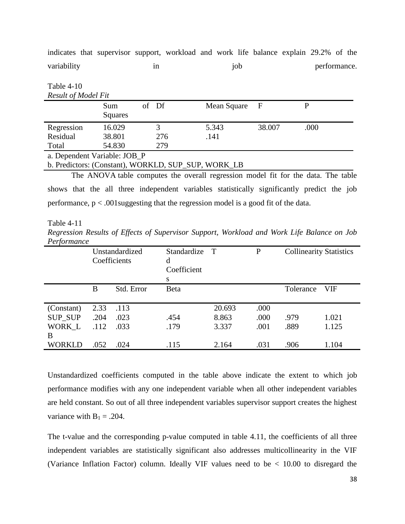|                            | 1n                         | 10 <sub>D</sub> |        | performance |
|----------------------------|----------------------------|-----------------|--------|-------------|
|                            |                            |                 |        |             |
| Sum<br>Squares             | of Df                      | Mean Square     | - F    |             |
| 16.029<br>38.801<br>54.830 | 3<br>276<br>279            | 5.343<br>.141   | 38.007 | .000        |
|                            | <b>Result of Model Fit</b> |                 |        |             |

indicates that supervisor support, workload and work life balance explain 29.2% of the

variability in in job performance.

a. Dependent Variable: JOB\_P

b. Predictors: (Constant), WORKLD, SUP\_SUP, WORK\_LB

The ANOVA table computes the overall regression model fit for the data. The table shows that the all three independent variables statistically significantly predict the job performance, p < .001suggesting that the regression model is a good fit of the data.

Table 4-11

*Regression Results of Effects of Supervisor Support, Workload and Work Life Balance on Job Performance*

|                |      | Unstandardized<br>Coefficients | Standardize<br>d<br>Coefficient<br>S | $\top$ | $\mathbf{P}$ | <b>Collinearity Statistics</b> |            |
|----------------|------|--------------------------------|--------------------------------------|--------|--------------|--------------------------------|------------|
|                | B    | Std. Error                     | Beta                                 |        |              | Tolerance                      | <b>VIF</b> |
| (Constant)     | 2.33 | .113                           |                                      | 20.693 | .000         |                                |            |
| <b>SUP_SUP</b> | .204 | .023                           | .454                                 | 8.863  | .000         | .979                           | 1.021      |
| WORK_L         | .112 | .033                           | .179                                 | 3.337  | .001         | .889                           | 1.125      |
| B              |      |                                |                                      |        |              |                                |            |
| <b>WORKLD</b>  | .052 | .024                           | .115                                 | 2.164  | .031         | .906                           | 1.104      |

Unstandardized coefficients computed in the table above indicate the extent to which job performance modifies with any one independent variable when all other independent variables are held constant. So out of all three independent variables supervisor support creates the highest variance with  $B_1 = .204$ .

The t-value and the corresponding p-value computed in table 4.11, the coefficients of all three independent variables are statistically significant also addresses multicollinearity in the VIF (Variance Inflation Factor) column. Ideally VIF values need to be < 10.00 to disregard the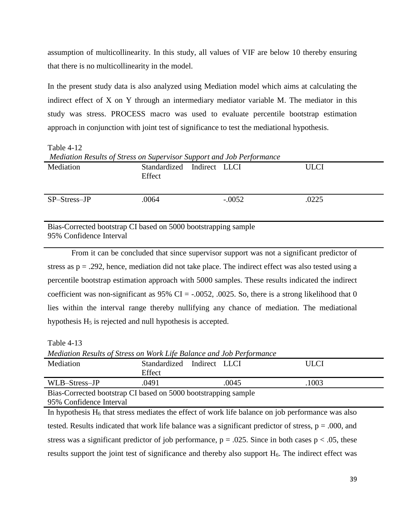assumption of multicollinearity. In this study, all values of VIF are below 10 thereby ensuring that there is no multicollinearity in the model.

In the present study data is also analyzed using Mediation model which aims at calculating the indirect effect of X on Y through an intermediary mediator variable M. The mediator in this study was stress. PROCESS macro was used to evaluate percentile bootstrap estimation approach in conjunction with joint test of significance to test the mediational hypothesis.

Table 4-12 *Mediation Results of Stress on Supervisor Support and Job Performance* Mediation Standardized Indirect LLCI **Effect** ULCI SP–Stress–JP .0064 -.0052 .0225 Bias-Corrected bootstrap CI based on 5000 bootstrapping sample

95% Confidence Interval

From it can be concluded that since supervisor support was not a significant predictor of stress as  $p = .292$ , hence, mediation did not take place. The indirect effect was also tested using a percentile bootstrap estimation approach with 5000 samples. These results indicated the indirect coefficient was non-significant as  $95\%$  CI = -.0052, .0025. So, there is a strong likelihood that 0 lies within the interval range thereby nullifying any chance of mediation. The mediational hypothesis  $H<sub>5</sub>$  is rejected and null hypothesis is accepted.

Table 4-13

*Mediation Results of Stress on Work Life Balance and Job Performance* Mediation Standardized Indirect LLCI Effect ULCI WLB–Stress–JP .0491 .0045 .0045 .1003 Bias-Corrected bootstrap CI based on 5000 bootstrapping sample 95% Confidence Interval

In hypothesis  $H_6$  that stress mediates the effect of work life balance on job performance was also tested. Results indicated that work life balance was a significant predictor of stress,  $p = .000$ , and stress was a significant predictor of job performance,  $p = .025$ . Since in both cases  $p < .05$ , these results support the joint test of significance and thereby also support H<sub>6</sub>. The indirect effect was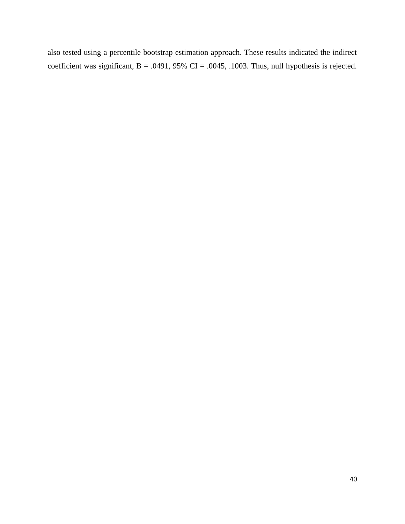also tested using a percentile bootstrap estimation approach. These results indicated the indirect coefficient was significant,  $B = .0491, 95\%$  CI = .0045, .1003. Thus, null hypothesis is rejected.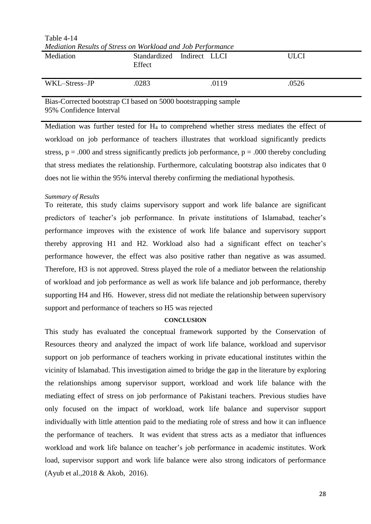| Mediation Results of Stress on Workload and Job Performance |                                      |  |       |             |  |  |
|-------------------------------------------------------------|--------------------------------------|--|-------|-------------|--|--|
| Mediation                                                   | Standardized Indirect LLCI<br>Effect |  |       | <b>ULCI</b> |  |  |
| WKL-Stress-JP                                               | .0283                                |  | .0119 | .0526       |  |  |

Table 4-14

Bias-Corrected bootstrap CI based on 5000 bootstrapping sample 95% Confidence Interval

Mediation was further tested for H<sup>4</sup> to comprehend whether stress mediates the effect of workload on job performance of teachers illustrates that workload significantly predicts stress,  $p = .000$  and stress significantly predicts job performance,  $p = .000$  thereby concluding that stress mediates the relationship. Furthermore, calculating bootstrap also indicates that 0 does not lie within the 95% interval thereby confirming the mediational hypothesis.

## *Summary of Results*

To reiterate, this study claims supervisory support and work life balance are significant predictors of teacher's job performance. In private institutions of Islamabad, teacher's performance improves with the existence of work life balance and supervisory support thereby approving H1 and H2. Workload also had a significant effect on teacher's performance however, the effect was also positive rather than negative as was assumed. Therefore, H3 is not approved. Stress played the role of a mediator between the relationship of workload and job performance as well as work life balance and job performance, thereby supporting H4 and H6. However, stress did not mediate the relationship between supervisory support and performance of teachers so H5 was rejected

## **CONCLUSION**

This study has evaluated the conceptual framework supported by the Conservation of Resources theory and analyzed the impact of work life balance, workload and supervisor support on job performance of teachers working in private educational institutes within the vicinity of Islamabad. This investigation aimed to bridge the gap in the literature by exploring the relationships among supervisor support, workload and work life balance with the mediating effect of stress on job performance of Pakistani teachers. Previous studies have only focused on the impact of workload, work life balance and supervisor support individually with little attention paid to the mediating role of stress and how it can influence the performance of teachers. It was evident that stress acts as a mediator that influences workload and work life balance on teacher's job performance in academic institutes. Work load, supervisor support and work life balance were also strong indicators of performance (Ayub et al.,2018 & Akob, 2016).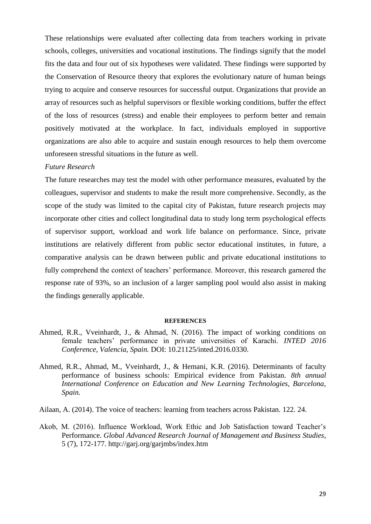These relationships were evaluated after collecting data from teachers working in private schools, colleges, universities and vocational institutions. The findings signify that the model fits the data and four out of six hypotheses were validated. These findings were supported by the Conservation of Resource theory that explores the evolutionary nature of human beings trying to acquire and conserve resources for successful output. Organizations that provide an array of resources such as helpful supervisors or flexible working conditions, buffer the effect of the loss of resources (stress) and enable their employees to perform better and remain positively motivated at the workplace. In fact, individuals employed in supportive organizations are also able to acquire and sustain enough resources to help them overcome unforeseen stressful situations in the future as well.

#### *Future Research*

The future researches may test the model with other performance measures, evaluated by the colleagues, supervisor and students to make the result more comprehensive. Secondly, as the scope of the study was limited to the capital city of Pakistan, future research projects may incorporate other cities and collect longitudinal data to study long term psychological effects of supervisor support, workload and work life balance on performance. Since, private institutions are relatively different from public sector educational institutes, in future, a comparative analysis can be drawn between public and private educational institutions to fully comprehend the context of teachers' performance. Moreover, this research garnered the response rate of 93%, so an inclusion of a larger sampling pool would also assist in making the findings generally applicable.

#### **REFERENCES**

- Ahmed, R.R., Vveinhardt, J., & Ahmad, N. (2016). The impact of working conditions on female teachers' performance in private universities of Karachi. *INTED 2016 Conference, Valencia, Spain.* DOI: 10.21125/inted.2016.0330.
- Ahmed, R.R., Ahmad, M., Vveinhardt, J., & Hemani, K.R. (2016). Determinants of faculty performance of business schools: Empirical evidence from Pakistan. *8th annual International Conference on Education and New Learning Technologies, Barcelona, Spain.*
- Ailaan, A. (2014). The voice of teachers: learning from teachers across Pakistan. 122. 24.
- Akob, M. (2016). Influence Workload, Work Ethic and Job Satisfaction toward Teacher's Performance. *Global Advanced Research Journal of Management and Business Studies*, 5 (7), 172-177. http://garj.org/garjmbs/index.htm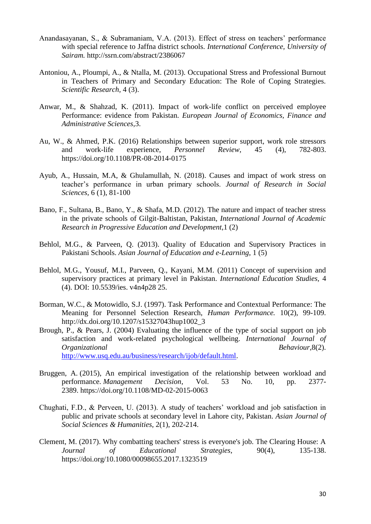- Anandasayanan, S., & Subramaniam, V.A. (2013). Effect of stress on teachers' performance with special reference to Jaffna district schools. *International Conference, University of Sairam.* http://ssrn.com/abstract/2386067
- Antoniou, A., Ploumpi, A., & Ntalla, M. (2013). Occupational Stress and Professional Burnout in Teachers of Primary and Secondary Education: The Role of Coping Strategies. *Scientific Research,* 4 (3).
- Anwar, M., & Shahzad, K. (2011). Impact of work-life conflict on perceived employee Performance: evidence from Pakistan. *European Journal of Economics, Finance and Administrative Sciences*,3.
- Au, W., & Ahmed, P.K. (2016) Relationships between superior support, work role stressors and work-life experience, *Personnel Review*, 45 (4), 782-803. https://doi.org/10.1108/PR-08-2014-0175
- Ayub, A., Hussain, M.A, & Ghulamullah, N. (2018). Causes and impact of work stress on teacher's performance in urban primary schools. *Journal of Research in Social Sciences,* 6 (1), 81-100
- Bano, F., Sultana, B., Bano, Y., & Shafa, M.D. (2012). The nature and impact of teacher stress in the private schools of Gilgit-Baltistan, Pakistan, *International Journal of Academic Research in Progressive Education and Development*,1 (2)
- Behlol, M.G., & Parveen, Q. (2013). Quality of Education and Supervisory Practices in Pakistani Schools. *Asian Journal of Education and e-Learning*, 1 (5)
- Behlol, M.G., Yousuf, M.I., Parveen, Q., Kayani, M.M. (2011) Concept of supervision and supervisory practices at primary level in Pakistan. *International Education Studies,* 4 (4). DOI: 10.5539/ies. v4n4p28 25.
- Borman, W.C., & Motowidlo, S.J. (1997). Task Performance and Contextual Performance: The Meaning for Personnel Selection Research, *Human Performance.* 10(2), 99-109. http://dx.doi.org/10.1207/s15327043hup1002\_3
- Brough, P., & Pears, J. (2004) Evaluating the influence of the type of social support on job satisfaction and work-related psychological wellbeing. *International Journal of Organizational Behaviour*,8(2). [http://www.usq.edu.au/business/research/ijob/default.html.](http://www.usq.edu.au/business/research/ijob/default.html)
- [Bruggen, A.](https://www.emerald.com/insight/search?q=Alexander%20Bruggen) (2015), An empirical investigation of the relationship between workload and performance. *[Management Decision](https://www.emerald.com/insight/publication/issn/0025-1747)*, Vol. 53 No. 10, pp. 2377- 2389. <https://doi.org/10.1108/MD-02-2015-0063>
- Chughati, F.D., & Perveen, U. (2013). A study of teachers' workload and job satisfaction in public and private schools at secondary level in Lahore city, Pakistan. *Asian Journal of Social Sciences & Humanities*, 2(1), 202-214.
- Clement, M. (2017). Why combatting teachers' stress is everyone's job. The Clearing House: A *Journal of Educational Strategies*, 90(4), 135-138. https://doi.org/10.1080/00098655.2017.1323519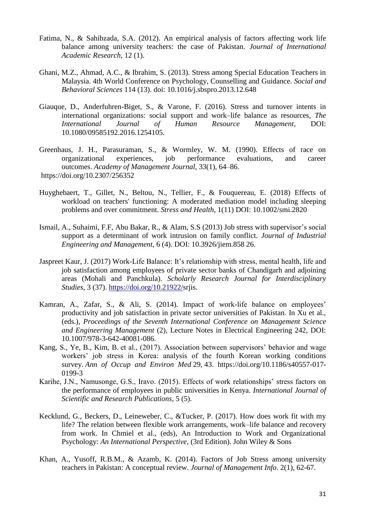- Fatima, N., & Sahibzada, S.A. (2012). An empirical analysis of factors affecting work life balance among university teachers: the case of Pakistan. *Journal of International Academic Research*, 12 (1).
- Ghani, M.Z., Ahmad, A.C., & Ibrahim, S. (2013). Stress among Special Education Teachers in Malaysia. 4th World Conference on Psychology, Counselling and Guidance. *Social and Behavioral Sciences* 114 (13). doi: 10.1016/j.sbspro.2013.12.648
- Giauque, D., Anderfuhren-Biget, S., & Varone, F. (2016). Stress and turnover intents in international organizations: social support and work–life balance as resources, *The International Journal of Human Resource Management*, DOI: 10.1080/09585192.2016.1254105.
- Greenhaus, J. H., Parasuraman, S., & Wormley, W. M. (1990). Effects of race on organizational experiences, job performance evaluations, and career outcomes. *Academy of Management Journal*, 33(1), 64–86. [https://doi.org/10.2307/256352](https://psycnet.apa.org/doi/10.2307/256352)
- Huyghebaert, T., Gillet, N., Beltou, N., Tellier, F., & Fouquereau, E. (2018) Effects of workload on teachers' functioning: A moderated mediation model including sleeping problems and over commitment. *Stress and Health*, 1(11) DOI: 10.1002/smi.2820
- Ismail, A., Suhaimi, F.F, Abu Bakar, R., & Alam, S.S (2013) Job stress with supervisor's social support as a determinant of work intrusion on family conflict. *Journal of Industrial Engineering and Management*, 6 (4). DOI: 10.3926/jiem.858 26.
- Jaspreet Kaur, J. (2017) Work-Life Balance: It's relationship with stress, mental health, life and job satisfaction among employees of private sector banks of Chandigarh and adjoining areas (Mohali and Panchkula). *Scholarly Research Journal for Interdisciplinary Studies,* 3 (37). [https://doi.org/10.21922/s](https://doi.org/10.21922/)rjis.
- Kamran, A., Zafar, S., & Ali, S. (2014). Impact of work-life balance on employees' productivity and job satisfaction in private sector universities of Pakistan. In Xu et al., (eds.), *Proceedings of the Seventh International Conference on Management Science and Engineering Management* (2), Lecture Notes in Electrical Engineering 242, DOI: 10.1007/978-3-642-40081-086.
- Kang, S., Ye, B., Kim, B. et al., (2017). Association between supervisors' behavior and wage workers' job stress in Korea: analysis of the fourth Korean working conditions survey. *Ann of Occup and Environ Med* 29, 43. https://doi.org/10.1186/s40557-017- 0199-3
- Karihe, J.N., Namusonge, G.S., Iravo. (2015). Effects of work relationships' stress factors on the performance of employees in public universities in Kenya. *International Journal of Scientific and Research Publications*, 5 (5).
- Kecklund, G., Beckers, D., Leineweber, C., &Tucker, P. (2017). How does work fit with my life? The relation between flexible work arrangements, work–life balance and recovery from work. In Chmiel et al., (eds), An Introduction to Work and Organizational Psychology: *An International Perspective*, (3rd Edition). John Wiley & Sons
- Khan, A., Yusoff, R.B.M., & Azamb, K. (2014). Factors of Job Stress among university teachers in Pakistan: A conceptual review. *Journal of Management Info*. 2(1), 62-67.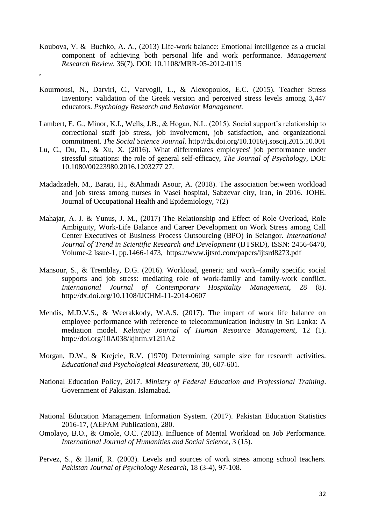[Koubova,](https://www.researchgate.net/scientific-contributions/Veronika-Koubova-2112275287?_sg%5B0%5D=95OUEbL_Zg1BVK4UOcGNsbTZMz4gM9ip6AZ5Cl8T0qYcSC3OykU0iUNv1HBKmI0m67PiACY.R5LI6S3D2G3zAcowBxUC6LTsn_kjyMvftPmWw183iuU3uTGaEuhi45DoZUxRuek-yfSAiQcSriBhE3G_GqqwUg&_sg%5B1%5D=Nk66eucVWG-0h60qbhYk9UY7TY3b6OMWeZS2sIg5o8nVMCfL2otMDyrB1tW3_X2HfmOsuRA.aBrxLL6nRLC88A_VZx-4e7bB4DbDqLMwheE0hHf1Ld6c8QZ1vpsjKjX1ecZaRs3oQA1hzUi80B4eGD4dcNougw) V. & [Buchko,](https://www.researchgate.net/profile/Aaron-Buchko?_sg%5B0%5D=95OUEbL_Zg1BVK4UOcGNsbTZMz4gM9ip6AZ5Cl8T0qYcSC3OykU0iUNv1HBKmI0m67PiACY.R5LI6S3D2G3zAcowBxUC6LTsn_kjyMvftPmWw183iuU3uTGaEuhi45DoZUxRuek-yfSAiQcSriBhE3G_GqqwUg&_sg%5B1%5D=Nk66eucVWG-0h60qbhYk9UY7TY3b6OMWeZS2sIg5o8nVMCfL2otMDyrB1tW3_X2HfmOsuRA.aBrxLL6nRLC88A_VZx-4e7bB4DbDqLMwheE0hHf1Ld6c8QZ1vpsjKjX1ecZaRs3oQA1hzUi80B4eGD4dcNougw) A. A., (2013) Life-work balance: Emotional intelligence as a crucial component of achieving both personal life and work performance. *Management Research Review*. 36(7). DOI: [10.1108/MRR-05-2012-0115](http://dx.doi.org/10.1108/MRR-05-2012-0115)

,

- Kourmousi, N., Darviri, C., Varvogli, L., & Alexopoulos, E.C. (2015). Teacher Stress Inventory: validation of the Greek version and perceived stress levels among 3,447 educators. *Psychology Research and Behavior Management.*
- Lambert, E. G., Minor, K.I., Wells, J.B., & Hogan, N.L. (2015). Social support's relationship to correctional staff job stress, job involvement, job satisfaction, and organizational commitment. *The Social Science Journal*. http://dx.doi.org/10.1016/j.soscij.2015.10.001
- Lu, C., Du, D., & Xu, X. (2016). What differentiates employees' job performance under stressful situations: the role of general self-efficacy, *The Journal of Psychology*, DOI: 10.1080/00223980.2016.1203277 27.
- Madadzadeh, M., Barati, H., &Ahmadi Asour, A. (2018). The association between workload and job stress among nurses in Vasei hospital, Sabzevar city, Iran, in 2016. JOHE. Journal of Occupational Health and Epidemiology, 7(2)
- Mahajar, A. J. & Yunus, J. M., (2017) The Relationship and Effect of Role Overload, Role Ambiguity, Work-Life Balance and Career Development on Work Stress among Call Center Executives of Business Process Outsourcing (BPO) in Selangor. *International Journal of Trend in Scientific Research and Development (IJTSRD), ISSN: 2456-6470,* Volume-2 Issue-1, pp.1466-1473, <https://www.ijtsrd.com/papers/ijtsrd8273.pdf>
- Mansour, S., & Tremblay, D.G. (2016). Workload, generic and work–family specific social supports and job stress: mediating role of work-family and family-work conflict. *International Journal of Contemporary Hospitality Management*, 28 (8). http://dx.doi.org/10.1108/IJCHM-11-2014-0607
- Mendis, M.D.V.S., & Weerakkody, W.A.S. (2017). The impact of work life balance on employee performance with reference to telecommunication industry in Sri Lanka: A mediation model. *Kelaniya Journal of Human Resource Management*, 12 (1). http://doi.org/10A038/kjhrm.v12i1A2
- Morgan, D.W., & Krejcie, R.V. (1970) Determining sample size for research activities. *Educational and Psychological Measurement*, 30, 607-601.
- National Education Policy, 2017. *Ministry of Federal Education and Professional Training*. Government of Pakistan. Islamabad.
- National Education Management Information System. (2017). Pakistan Education Statistics 2016-17, (AEPAM Publication), 280.
- Omolayo, B.O., & Omole, O.C. (2013). Influence of Mental Workload on Job Performance. *International Journal of Humanities and Social Science*, 3 (15).
- Pervez, S., & Hanif, R. (2003). Levels and sources of work stress among school teachers. *Pakistan Journal of Psychology Research*, 18 (3-4), 97-108.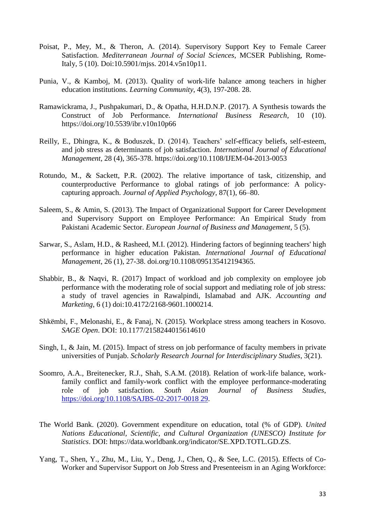- Poisat, P., Mey, M., & Theron, A. (2014). Supervisory Support Key to Female Career Satisfaction. *Mediterranean Journal of Social Sciences*, MCSER Publishing, Rome-Italy, 5 (10). Doi:10.5901/mjss. 2014.v5n10p11.
- Punia, V., & Kamboj, M. (2013). Quality of work-life balance among teachers in higher education institutions. *Learning Community*, 4(3), 197-208. 28.
- Ramawickrama, J., Pushpakumari, D., & Opatha, H.H.D.N.P. (2017). A Synthesis towards the Construct of Job Performance. *International Business Research*, 10 (10). https://doi.org/10.5539/ibr.v10n10p66
- Reilly, E., Dhingra, K., & Boduszek, D. (2014). Teachers' self-efficacy beliefs, self-esteem, and job stress as determinants of job satisfaction. *International Journal of Educational Management*, 28 (4), 365-378. https://doi.org/10.1108/IJEM-04-2013-0053
- Rotundo, M., & Sackett, P.R. (2002). The relative importance of task, citizenship, and counterproductive Performance to global ratings of job performance: A policycapturing approach. *Journal of Applied Psychology*, 87(1), 66–80.
- Saleem, S., & Amin, S. (2013). The Impact of Organizational Support for Career Development and Supervisory Support on Employee Performance: An Empirical Study from Pakistani Academic Sector. *European Journal of Business and Management*, 5 (5).
- Sarwar, S., Aslam, H.D., & Rasheed, M.I. (2012). Hindering factors of beginning teachers' high performance in higher education Pakistan. *International Journal of Educational Management*, 26 (1), 27-38. doi.org/10.1108/095135412194365.
- Shabbir, B., & Naqvi, R. (2017) Impact of workload and job complexity on employee job performance with the moderating role of social support and mediating role of job stress: a study of travel agencies in Rawalpindi, Islamabad and AJK. *Accounting and Marketing*, 6 (1) doi:10.4172/2168-9601.1000214.
- Shkëmbi, F., Melonashi, E., & Fanaj, N. (2015). Workplace stress among teachers in Kosovo. *SAGE Open*. DOI: 10.1177/2158244015614610
- Singh, I., & Jain, M. (2015). Impact of stress on job performance of faculty members in private universities of Punjab. *Scholarly Research Journal for Interdisciplinary Studies*, 3(21).
- Soomro, A.A., Breitenecker, R.J., Shah, S.A.M. (2018). Relation of work-life balance, workfamily conflict and family-work conflict with the employee performance-moderating role of job satisfaction. *South Asian Journal of Business Studies*, [https://doi.org/10.1108/SAJBS-02-2017-0018 29.](https://doi.org/10.1108/SAJBS-02-2017-0018%2029)
- The World Bank. (2020). Government expenditure on education, total (% of GDP). *United Nations Educational, Scientific, and Cultural Organization (UNESCO) Institute for Statistics*. DOI: https://data.worldbank.org/indicator/SE.XPD.TOTL.GD.ZS.
- Yang, T., Shen, Y., Zhu, M., Liu, Y., Deng, J., Chen, Q., & See, L.C. (2015). Effects of Co-Worker and Supervisor Support on Job Stress and Presenteeism in an Aging Workforce: